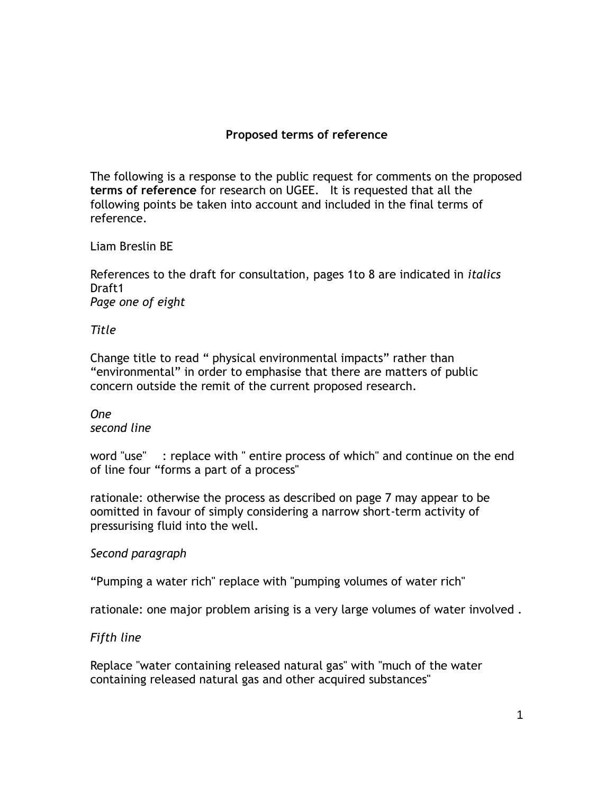# **Proposed terms of reference**

The following is a response to the public request for comments on the proposed **terms of reference** for research on UGEE. It is requested that all the following points be taken into account and included in the final terms of reference.

### Liam Breslin BE

References to the draft for consultation, pages 1to 8 are indicated in *italics* Draft1 *Page one of eight*

#### *Title*

Change title to read " physical environmental impacts" rather than "environmental" in order to emphasise that there are matters of public concern outside the remit of the current proposed research.

#### *One second line*

word "use" : replace with " entire process of which" and continue on the end of line four "forms a part of a process"

rationale: otherwise the process as described on page 7 may appear to be oomitted in favour of simply considering a narrow short-term activity of pressurising fluid into the well.

### *Second paragraph*

"Pumping a water rich" replace with "pumping volumes of water rich"

rationale: one major problem arising is a very large volumes of water involved .

### *Fifth line*

Replace "water containing released natural gas" with "much of the water containing released natural gas and other acquired substances"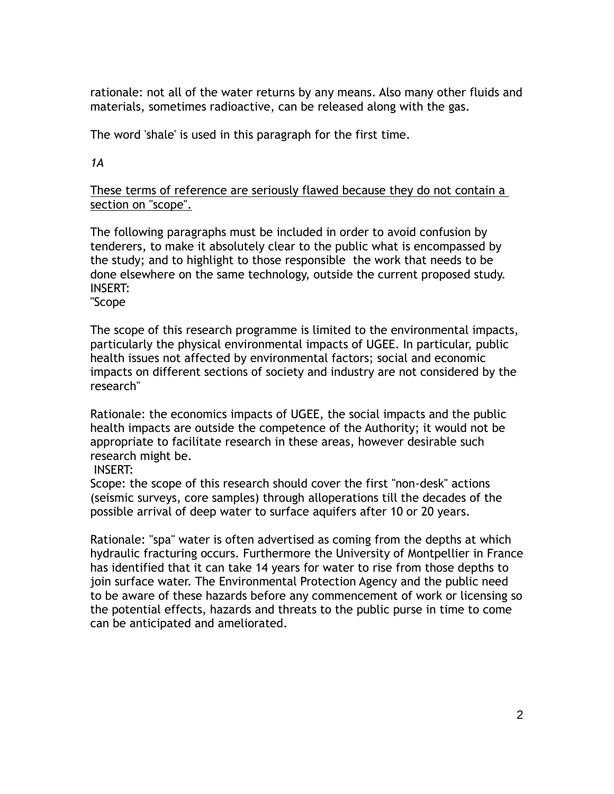rationale: not all of the water returns by any means. Also many other fluids and materials, sometimes radioactive, can be released along with the gas.

The word 'shale' is used in this paragraph for the first time.

*1A*

These terms of reference are seriously flawed because they do not contain a section on "scope".

The following paragraphs must be included in order to avoid confusion by tenderers, to make it absolutely clear to the public what is encompassed by the study; and to highlight to those responsible the work that needs to be done elsewhere on the same technology, outside the current proposed study. INSERT:

"Scope

The scope of this research programme is limited to the environmental impacts, particularly the physical environmental impacts of UGEE. In particular, public health issues not affected by environmental factors; social and economic impacts on different sections of society and industry are not considered by the research"

Rationale: the economics impacts of UGEE, the social impacts and the public health impacts are outside the competence of the Authority; it would not be appropriate to facilitate research in these areas, however desirable such research might be.

INSERT:

Scope: the scope of this research should cover the first "non-desk" actions (seismic surveys, core samples) through alloperations till the decades of the possible arrival of deep water to surface aquifers after 10 or 20 years.

Rationale: "spa" water is often advertised as coming from the depths at which hydraulic fracturing occurs. Furthermore the University of Montpellier in France has identified that it can take 14 years for water to rise from those depths to join surface water. The Environmental Protection Agency and the public need to be aware of these hazards before any commencement of work or licensing so the potential effects, hazards and threats to the public purse in time to come can be anticipated and ameliorated.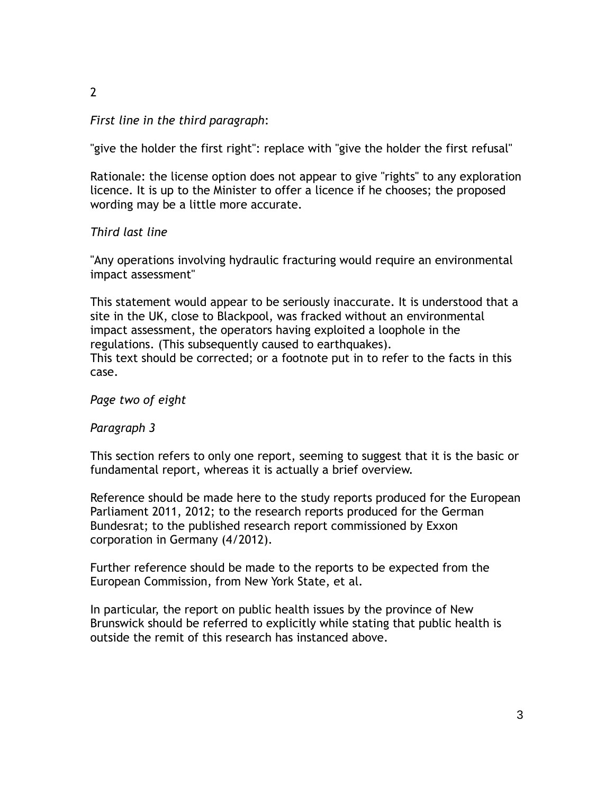## 2

#### *First line in the third paragraph*:

"give the holder the first right": replace with "give the holder the first refusal"

Rationale: the license option does not appear to give "rights" to any exploration licence. It is up to the Minister to offer a licence if he chooses; the proposed wording may be a little more accurate.

### *Third last line*

"Any operations involving hydraulic fracturing would require an environmental impact assessment"

This statement would appear to be seriously inaccurate. It is understood that a site in the UK, close to Blackpool, was fracked without an environmental impact assessment, the operators having exploited a loophole in the regulations. (This subsequently caused to earthquakes). This text should be corrected; or a footnote put in to refer to the facts in this case.

*Page two of eight*

*Paragraph 3*

This section refers to only one report, seeming to suggest that it is the basic or fundamental report, whereas it is actually a brief overview.

Reference should be made here to the study reports produced for the European Parliament 2011, 2012; to the research reports produced for the German Bundesrat; to the published research report commissioned by Exxon corporation in Germany (4/2012).

Further reference should be made to the reports to be expected from the European Commission, from New York State, et al.

In particular, the report on public health issues by the province of New Brunswick should be referred to explicitly while stating that public health is outside the remit of this research has instanced above.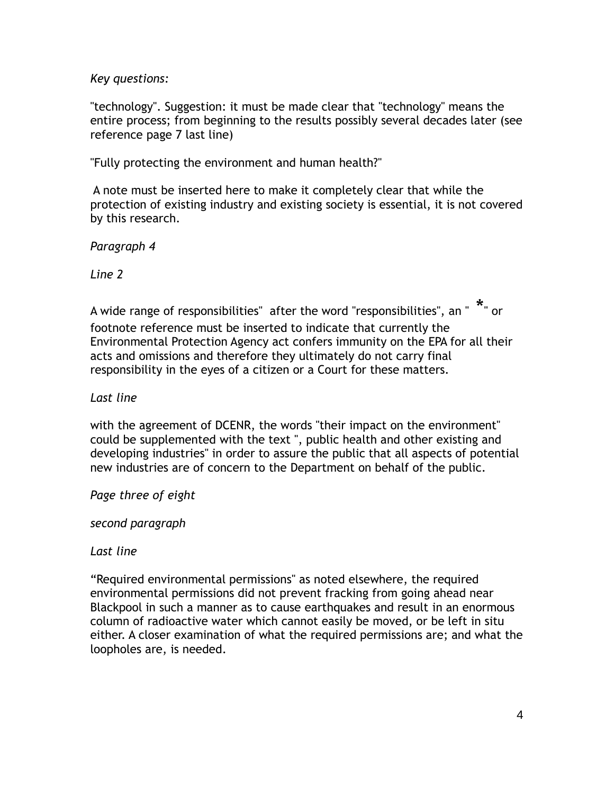*Key questions:*

"technology". Suggestion: it must be made clear that "technology" means the entire process; from beginning to the results possibly several decades later (see reference page 7 last line)

"Fully protecting the environment and human health?"

A note must be inserted here to make it completely clear that while the protection of existing industry and existing society is essential, it is not covered by this research.

*Paragraph 4*

*Line 2*

A wide range of responsibilities"  $\,$  after the word "responsibilities",  $\,$ an " $\,$   $\,$  " $\,$  or  $\,$ footnote reference must be inserted to indicate that currently the Environmental Protection Agency act confers immunity on the EPA for all their acts and omissions and therefore they ultimately do not carry final responsibility in the eyes of a citizen or a Court for these matters.

*Last line*

with the agreement of DCENR, the words "their impact on the environment" could be supplemented with the text ", public health and other existing and developing industries" in order to assure the public that all aspects of potential new industries are of concern to the Department on behalf of the public.

*Page three of eight*

*second paragraph*

*Last line*

"Required environmental permissions" as noted elsewhere, the required environmental permissions did not prevent fracking from going ahead near Blackpool in such a manner as to cause earthquakes and result in an enormous column of radioactive water which cannot easily be moved, or be left in situ either. A closer examination of what the required permissions are; and what the loopholes are, is needed.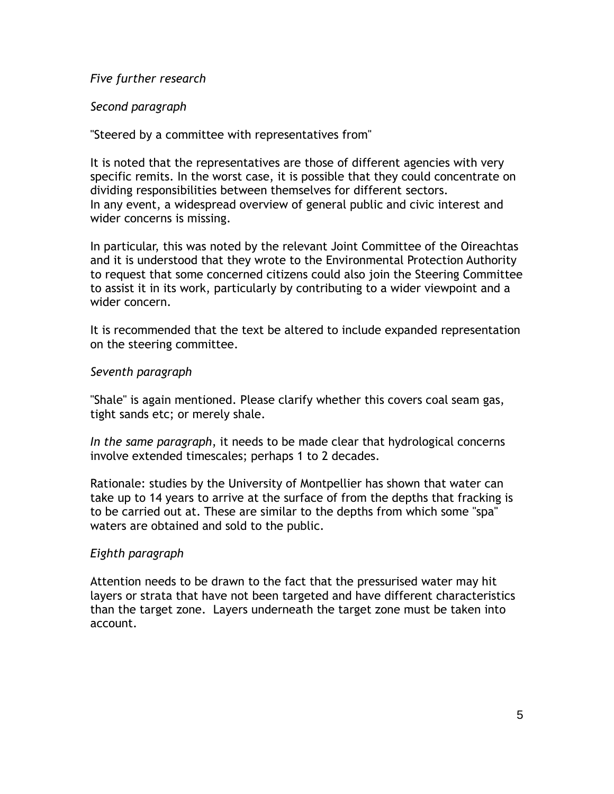### *Five further research*

## *Second paragraph*

## "Steered by a committee with representatives from"

It is noted that the representatives are those of different agencies with very specific remits. In the worst case, it is possible that they could concentrate on dividing responsibilities between themselves for different sectors. In any event, a widespread overview of general public and civic interest and wider concerns is missing.

In particular, this was noted by the relevant Joint Committee of the Oireachtas and it is understood that they wrote to the Environmental Protection Authority to request that some concerned citizens could also join the Steering Committee to assist it in its work, particularly by contributing to a wider viewpoint and a wider concern.

It is recommended that the text be altered to include expanded representation on the steering committee.

## *Seventh paragraph*

"Shale" is again mentioned. Please clarify whether this covers coal seam gas, tight sands etc; or merely shale.

*In the same paragraph*, it needs to be made clear that hydrological concerns involve extended timescales; perhaps 1 to 2 decades.

Rationale: studies by the University of Montpellier has shown that water can take up to 14 years to arrive at the surface of from the depths that fracking is to be carried out at. These are similar to the depths from which some "spa" waters are obtained and sold to the public.

### *Eighth paragraph*

Attention needs to be drawn to the fact that the pressurised water may hit layers or strata that have not been targeted and have different characteristics than the target zone. Layers underneath the target zone must be taken into account.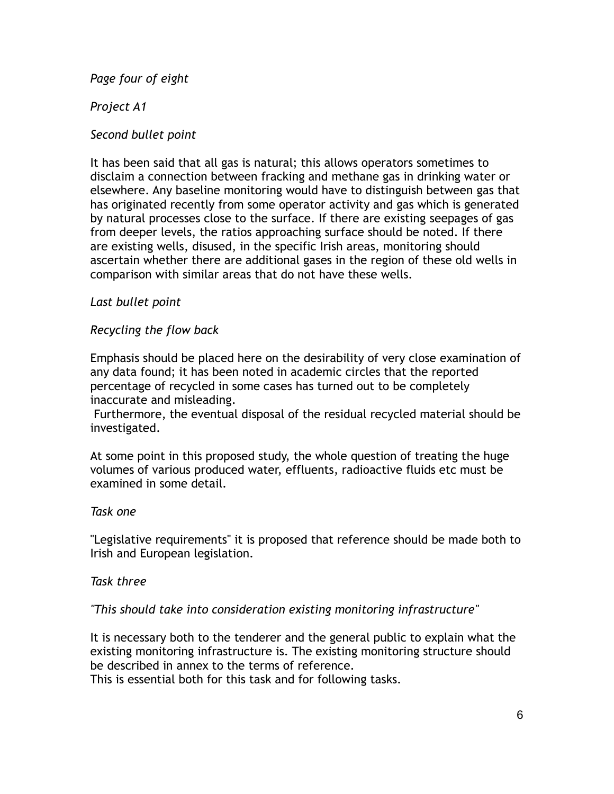*Page four of eight*

## *Project A1*

## *Second bullet point*

It has been said that all gas is natural; this allows operators sometimes to disclaim a connection between fracking and methane gas in drinking water or elsewhere. Any baseline monitoring would have to distinguish between gas that has originated recently from some operator activity and gas which is generated by natural processes close to the surface. If there are existing seepages of gas from deeper levels, the ratios approaching surface should be noted. If there are existing wells, disused, in the specific Irish areas, monitoring should ascertain whether there are additional gases in the region of these old wells in comparison with similar areas that do not have these wells.

## *Last bullet point*

## *Recycling the flow back*

Emphasis should be placed here on the desirability of very close examination of any data found; it has been noted in academic circles that the reported percentage of recycled in some cases has turned out to be completely inaccurate and misleading.

Furthermore, the eventual disposal of the residual recycled material should be investigated.

At some point in this proposed study, the whole question of treating the huge volumes of various produced water, effluents, radioactive fluids etc must be examined in some detail.

### *Task one*

"Legislative requirements" it is proposed that reference should be made both to Irish and European legislation.

### *Task three*

### *"This should take into consideration existing monitoring infrastructure"*

It is necessary both to the tenderer and the general public to explain what the existing monitoring infrastructure is. The existing monitoring structure should be described in annex to the terms of reference.

This is essential both for this task and for following tasks.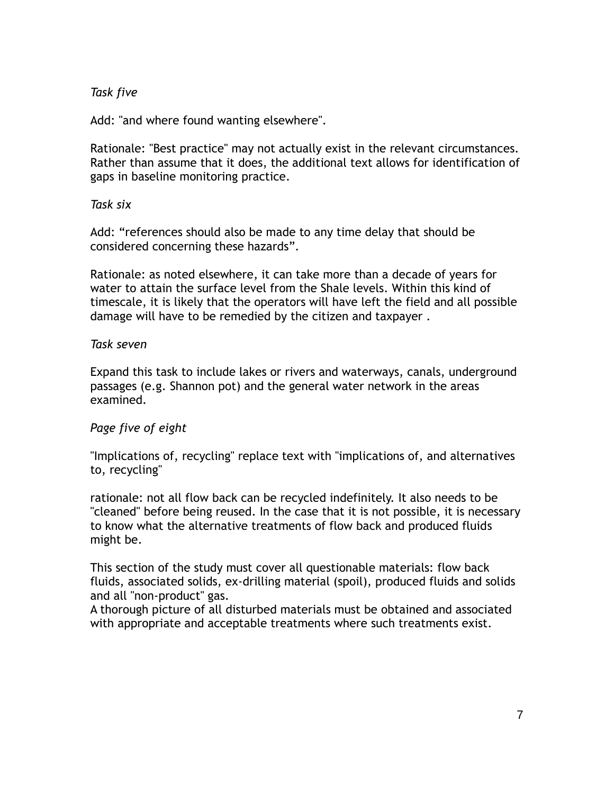## *Task five*

Add: "and where found wanting elsewhere".

Rationale: "Best practice" may not actually exist in the relevant circumstances. Rather than assume that it does, the additional text allows for identification of gaps in baseline monitoring practice.

*Task six*

Add: "references should also be made to any time delay that should be considered concerning these hazards".

Rationale: as noted elsewhere, it can take more than a decade of years for water to attain the surface level from the Shale levels. Within this kind of timescale, it is likely that the operators will have left the field and all possible damage will have to be remedied by the citizen and taxpayer .

#### *Task seven*

Expand this task to include lakes or rivers and waterways, canals, underground passages (e.g. Shannon pot) and the general water network in the areas examined.

### *Page five of eight*

"Implications of, recycling" replace text with "implications of, and alternatives to, recycling"

rationale: not all flow back can be recycled indefinitely. It also needs to be "cleaned" before being reused. In the case that it is not possible, it is necessary to know what the alternative treatments of flow back and produced fluids might be.

This section of the study must cover all questionable materials: flow back fluids, associated solids, ex-drilling material (spoil), produced fluids and solids and all "non-product" gas.

A thorough picture of all disturbed materials must be obtained and associated with appropriate and acceptable treatments where such treatments exist.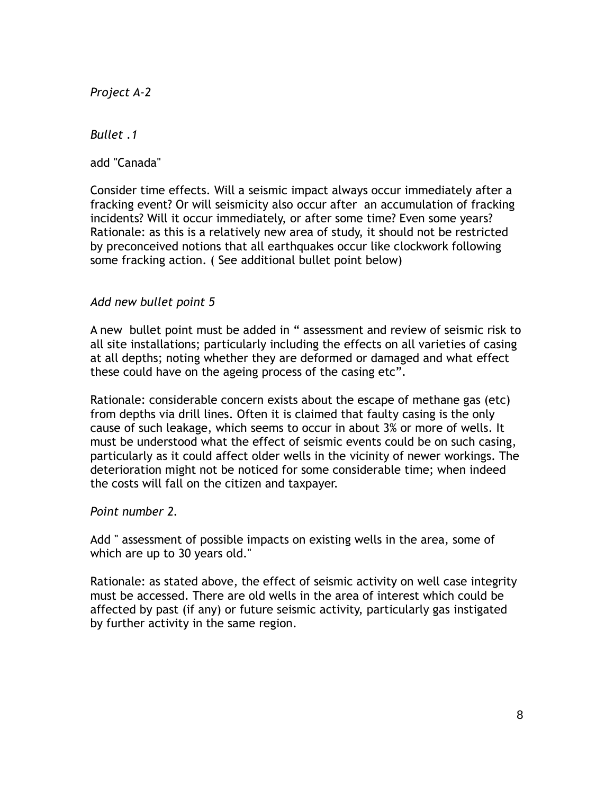*Project A-2*

*Bullet .1*

add "Canada"

Consider time effects. Will a seismic impact always occur immediately after a fracking event? Or will seismicity also occur after an accumulation of fracking incidents? Will it occur immediately, or after some time? Even some years? Rationale: as this is a relatively new area of study, it should not be restricted by preconceived notions that all earthquakes occur like clockwork following some fracking action. ( See additional bullet point below)

### *Add new bullet point 5*

A new bullet point must be added in " assessment and review of seismic risk to all site installations; particularly including the effects on all varieties of casing at all depths; noting whether they are deformed or damaged and what effect these could have on the ageing process of the casing etc".

Rationale: considerable concern exists about the escape of methane gas (etc) from depths via drill lines. Often it is claimed that faulty casing is the only cause of such leakage, which seems to occur in about 3% or more of wells. It must be understood what the effect of seismic events could be on such casing, particularly as it could affect older wells in the vicinity of newer workings. The deterioration might not be noticed for some considerable time; when indeed the costs will fall on the citizen and taxpayer.

### *Point number 2.*

Add " assessment of possible impacts on existing wells in the area, some of which are up to 30 years old."

Rationale: as stated above, the effect of seismic activity on well case integrity must be accessed. There are old wells in the area of interest which could be affected by past (if any) or future seismic activity, particularly gas instigated by further activity in the same region.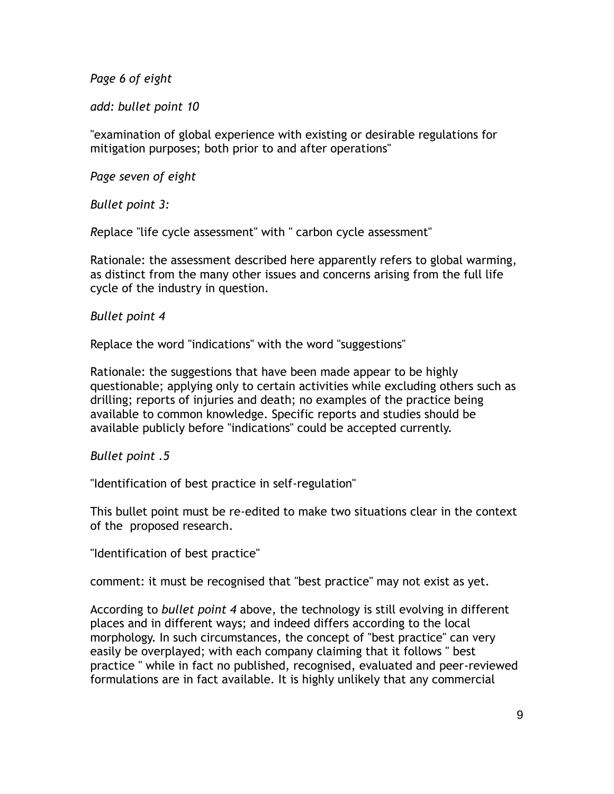*Page 6 of eight* 

*add: bullet point 10*

"examination of global experience with existing or desirable regulations for mitigation purposes; both prior to and after operations"

*Page seven of eight*

*Bullet point 3:* 

*R*eplace "life cycle assessment" with " carbon cycle assessment"

Rationale: the assessment described here apparently refers to global warming, as distinct from the many other issues and concerns arising from the full life cycle of the industry in question.

## *Bullet point 4*

Replace the word "indications" with the word "suggestions"

Rationale: the suggestions that have been made appear to be highly questionable; applying only to certain activities while excluding others such as drilling; reports of injuries and death; no examples of the practice being available to common knowledge. Specific reports and studies should be available publicly before "indications" could be accepted currently.

### *Bullet point .5*

"Identification of best practice in self-regulation"

This bullet point must be re-edited to make two situations clear in the context of the proposed research.

"Identification of best practice"

comment: it must be recognised that "best practice" may not exist as yet.

According to *bullet point 4* above, the technology is still evolving in different places and in different ways; and indeed differs according to the local morphology. In such circumstances, the concept of "best practice" can very easily be overplayed; with each company claiming that it follows " best practice " while in fact no published, recognised, evaluated and peer-reviewed formulations are in fact available. It is highly unlikely that any commercial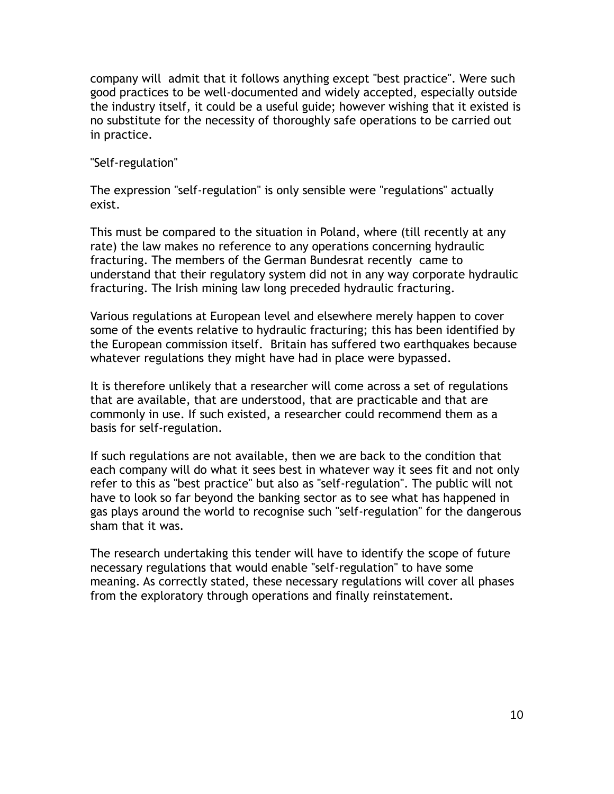company will admit that it follows anything except "best practice". Were such good practices to be well-documented and widely accepted, especially outside the industry itself, it could be a useful guide; however wishing that it existed is no substitute for the necessity of thoroughly safe operations to be carried out in practice.

"Self-regulation"

The expression "self-regulation" is only sensible were "regulations" actually exist.

This must be compared to the situation in Poland, where (till recently at any rate) the law makes no reference to any operations concerning hydraulic fracturing. The members of the German Bundesrat recently came to understand that their regulatory system did not in any way corporate hydraulic fracturing. The Irish mining law long preceded hydraulic fracturing.

Various regulations at European level and elsewhere merely happen to cover some of the events relative to hydraulic fracturing; this has been identified by the European commission itself. Britain has suffered two earthquakes because whatever regulations they might have had in place were bypassed.

It is therefore unlikely that a researcher will come across a set of regulations that are available, that are understood, that are practicable and that are commonly in use. If such existed, a researcher could recommend them as a basis for self-regulation.

If such regulations are not available, then we are back to the condition that each company will do what it sees best in whatever way it sees fit and not only refer to this as "best practice" but also as "self-regulation". The public will not have to look so far beyond the banking sector as to see what has happened in gas plays around the world to recognise such "self-regulation" for the dangerous sham that it was.

The research undertaking this tender will have to identify the scope of future necessary regulations that would enable "self-regulation" to have some meaning. As correctly stated, these necessary regulations will cover all phases from the exploratory through operations and finally reinstatement.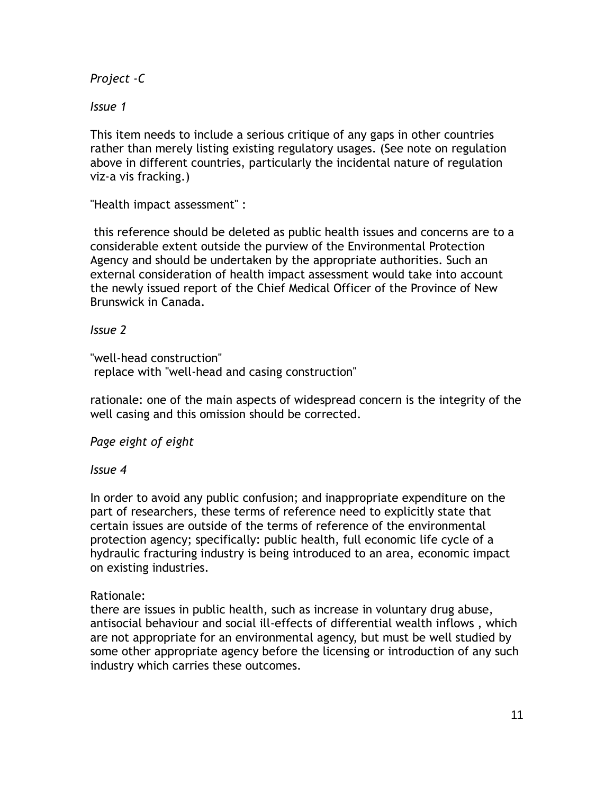*Project -C*

*Issue 1*

This item needs to include a serious critique of any gaps in other countries rather than merely listing existing regulatory usages. (See note on regulation above in different countries, particularly the incidental nature of regulation viz-a vis fracking.)

"Health impact assessment" :

this reference should be deleted as public health issues and concerns are to a considerable extent outside the purview of the Environmental Protection Agency and should be undertaken by the appropriate authorities. Such an external consideration of health impact assessment would take into account the newly issued report of the Chief Medical Officer of the Province of New Brunswick in Canada.

### *Issue 2*

"well-head construction" replace with "well-head and casing construction"

rationale: one of the main aspects of widespread concern is the integrity of the well casing and this omission should be corrected.

# *Page eight of eight*

### *Issue 4*

In order to avoid any public confusion; and inappropriate expenditure on the part of researchers, these terms of reference need to explicitly state that certain issues are outside of the terms of reference of the environmental protection agency; specifically: public health, full economic life cycle of a hydraulic fracturing industry is being introduced to an area, economic impact on existing industries.

# Rationale:

there are issues in public health, such as increase in voluntary drug abuse, antisocial behaviour and social ill-effects of differential wealth inflows , which are not appropriate for an environmental agency, but must be well studied by some other appropriate agency before the licensing or introduction of any such industry which carries these outcomes.